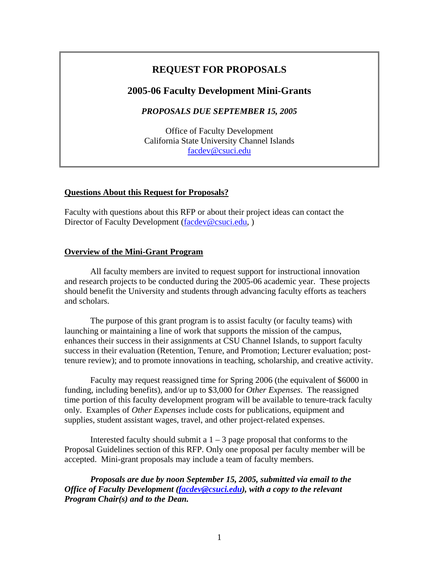## **REQUEST FOR PROPOSALS**

#### **2005-06 Faculty Development Mini-Grants**

*PROPOSALS DUE SEPTEMBER 15, 2005* 

Office of Faculty Development California State University Channel Islands [facdev@csuci.edu](mailto:facdev@csuci.edu)

#### **Questions About this Request for Proposals?**

Faculty with questions about this RFP or about their project ideas can contact the Director of Faculty Development ([facdev@csuci.edu,](mailto:facdev@csuci.edu))

#### **Overview of the Mini-Grant Program**

All faculty members are invited to request support for instructional innovation and research projects to be conducted during the 2005-06 academic year. These projects should benefit the University and students through advancing faculty efforts as teachers and scholars.

The purpose of this grant program is to assist faculty (or faculty teams) with launching or maintaining a line of work that supports the mission of the campus, enhances their success in their assignments at CSU Channel Islands, to support faculty success in their evaluation (Retention, Tenure, and Promotion; Lecturer evaluation; posttenure review); and to promote innovations in teaching, scholarship, and creative activity.

Faculty may request reassigned time for Spring 2006 (the equivalent of \$6000 in funding, including benefits), and/or up to \$3,000 for *Other Expenses*. The reassigned time portion of this faculty development program will be available to tenure-track faculty only. Examples of *Other Expenses* include costs for publications, equipment and supplies, student assistant wages, travel, and other project-related expenses.

Interested faculty should submit a  $1 - 3$  page proposal that conforms to the Proposal Guidelines section of this RFP. Only one proposal per faculty member will be accepted. Mini-grant proposals may include a team of faculty members.

*Proposals are due by noon September 15, 2005, submitted via email to the Office of Faculty Development [\(facdev@csuci.edu\)](mailto:facdev@csuci.edu), with a copy to the relevant Program Chair(s) and to the Dean.*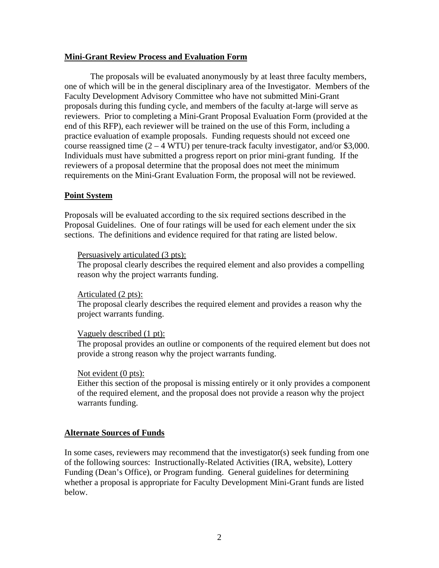#### **Mini-Grant Review Process and Evaluation Form**

The proposals will be evaluated anonymously by at least three faculty members, one of which will be in the general disciplinary area of the Investigator. Members of the Faculty Development Advisory Committee who have not submitted Mini-Grant proposals during this funding cycle, and members of the faculty at-large will serve as reviewers. Prior to completing a Mini-Grant Proposal Evaluation Form (provided at the end of this RFP), each reviewer will be trained on the use of this Form, including a practice evaluation of example proposals. Funding requests should not exceed one course reassigned time  $(2 - 4 \text{ WTU})$  per tenure-track faculty investigator, and/or \$3,000. Individuals must have submitted a progress report on prior mini-grant funding. If the reviewers of a proposal determine that the proposal does not meet the minimum requirements on the Mini-Grant Evaluation Form, the proposal will not be reviewed.

#### **Point System**

Proposals will be evaluated according to the six required sections described in the Proposal Guidelines. One of four ratings will be used for each element under the six sections. The definitions and evidence required for that rating are listed below.

#### Persuasively articulated (3 pts):

The proposal clearly describes the required element and also provides a compelling reason why the project warrants funding.

#### Articulated (2 pts):

The proposal clearly describes the required element and provides a reason why the project warrants funding.

#### Vaguely described (1 pt):

The proposal provides an outline or components of the required element but does not provide a strong reason why the project warrants funding.

#### Not evident (0 pts):

Either this section of the proposal is missing entirely or it only provides a component of the required element, and the proposal does not provide a reason why the project warrants funding.

#### **Alternate Sources of Funds**

In some cases, reviewers may recommend that the investigator(s) seek funding from one of the following sources: Instructionally-Related Activities (IRA, website), Lottery Funding (Dean's Office), or Program funding. General guidelines for determining whether a proposal is appropriate for Faculty Development Mini-Grant funds are listed below.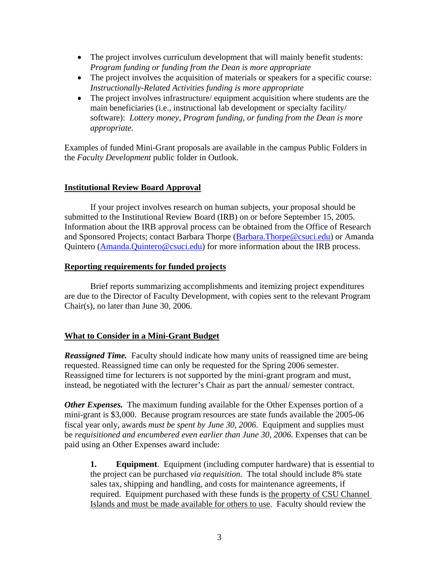- The project involves curriculum development that will mainly benefit students: *Program funding or funding from the Dean is more appropriate*
- The project involves the acquisition of materials or speakers for a specific course: *Instructionally-Related Activities funding is more appropriate*
- The project involves infrastructure/ equipment acquisition where students are the main beneficiaries (i.e., instructional lab development or specialty facility/ software): *Lottery money, Program funding, or funding from the Dean is more appropriate.*

Examples of funded Mini-Grant proposals are available in the campus Public Folders in the *Faculty Development* public folder in Outlook.

#### **Institutional Review Board Approval**

 If your project involves research on human subjects, your proposal should be submitted to the Institutional Review Board (IRB) on or before September 15, 2005. Information about the IRB approval process can be obtained from the Office of Research and Sponsored Projects; contact Barbara Thorpe [\(Barbara.Thorpe@csuci.edu\)](mailto:Barbara.Thorpe@csuci.edu) or Amanda Quintero ([Amanda.Quintero@csuci.edu](mailto:Amanda.Quintero@csuci.edu)) for more information about the IRB process.

#### **Reporting requirements for funded projects**

Brief reports summarizing accomplishments and itemizing project expenditures are due to the Director of Faculty Development, with copies sent to the relevant Program Chair(s), no later than June 30, 2006.

#### **What to Consider in a Mini-Grant Budget**

*Reassigned Time.* Faculty should indicate how many units of reassigned time are being requested. Reassigned time can only be requested for the Spring 2006 semester. Reassigned time for lecturers is not supported by the mini-grant program and must, instead, be negotiated with the lecturer's Chair as part the annual/ semester contract.

*Other Expenses.*The maximum funding available for the Other Expenses portion of a mini-grant is \$3,000. Because program resources are state funds available the 2005-06 fiscal year only, awards *must be spent by June 30, 2006*. Equipment and supplies must be *requisitioned and encumbered even earlier than June 30, 2006*. Expenses that can be paid using an Other Expenses award include:

**1. Equipment**. Equipment (including computer hardware) that is essential to the project can be purchased *via requisition*. The total should include 8% state sales tax, shipping and handling, and costs for maintenance agreements, if required. Equipment purchased with these funds is the property of CSU Channel Islands and must be made available for others to use. Faculty should review the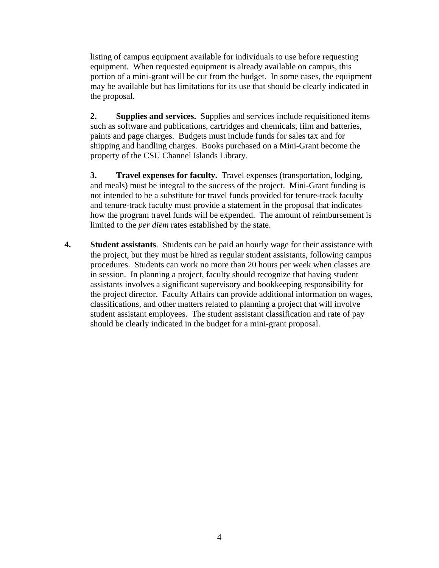listing of campus equipment available for individuals to use before requesting equipment. When requested equipment is already available on campus, this portion of a mini-grant will be cut from the budget. In some cases, the equipment may be available but has limitations for its use that should be clearly indicated in the proposal.

 **2. Supplies and services.** Supplies and services include requisitioned items such as software and publications, cartridges and chemicals, film and batteries, paints and page charges. Budgets must include funds for sales tax and for shipping and handling charges. Books purchased on a Mini-Grant become the property of the CSU Channel Islands Library.

 **3. Travel expenses for faculty.** Travel expenses (transportation, lodging, and meals) must be integral to the success of the project. Mini-Grant funding is not intended to be a substitute for travel funds provided for tenure-track faculty and tenure-track faculty must provide a statement in the proposal that indicates how the program travel funds will be expended. The amount of reimbursement is limited to the *per diem* rates established by the state.

**4. Student assistants**. Students can be paid an hourly wage for their assistance with the project, but they must be hired as regular student assistants, following campus procedures. Students can work no more than 20 hours per week when classes are in session. In planning a project, faculty should recognize that having student assistants involves a significant supervisory and bookkeeping responsibility for the project director. Faculty Affairs can provide additional information on wages, classifications, and other matters related to planning a project that will involve student assistant employees. The student assistant classification and rate of pay should be clearly indicated in the budget for a mini-grant proposal.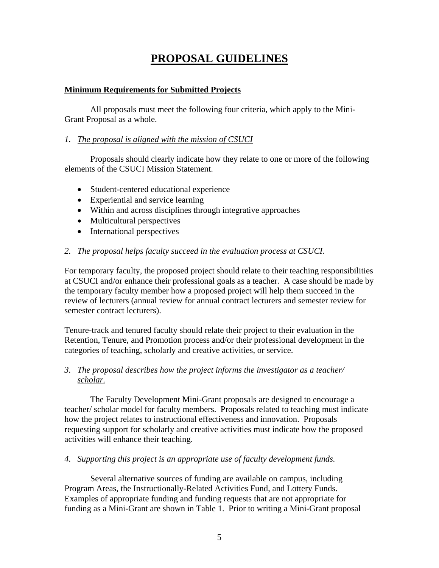# **PROPOSAL GUIDELINES**

#### **Minimum Requirements for Submitted Projects**

 All proposals must meet the following four criteria, which apply to the Mini-Grant Proposal as a whole.

#### *1. The proposal is aligned with the mission of CSUCI*

Proposals should clearly indicate how they relate to one or more of the following elements of the CSUCI Mission Statement.

- Student-centered educational experience
- Experiential and service learning
- Within and across disciplines through integrative approaches
- Multicultural perspectives
- International perspectives

#### *2. The proposal helps faculty succeed in the evaluation process at CSUCI.*

For temporary faculty, the proposed project should relate to their teaching responsibilities at CSUCI and/or enhance their professional goals as a teacher. A case should be made by the temporary faculty member how a proposed project will help them succeed in the review of lecturers (annual review for annual contract lecturers and semester review for semester contract lecturers).

Tenure-track and tenured faculty should relate their project to their evaluation in the Retention, Tenure, and Promotion process and/or their professional development in the categories of teaching, scholarly and creative activities, or service.

#### *3. The proposal describes how the project informs the investigator as a teacher/ scholar.*

 The Faculty Development Mini-Grant proposals are designed to encourage a teacher/ scholar model for faculty members. Proposals related to teaching must indicate how the project relates to instructional effectiveness and innovation. Proposals requesting support for scholarly and creative activities must indicate how the proposed activities will enhance their teaching.

#### *4. Supporting this project is an appropriate use of faculty development funds.*

 Several alternative sources of funding are available on campus, including Program Areas, the Instructionally-Related Activities Fund, and Lottery Funds. Examples of appropriate funding and funding requests that are not appropriate for funding as a Mini-Grant are shown in Table 1. Prior to writing a Mini-Grant proposal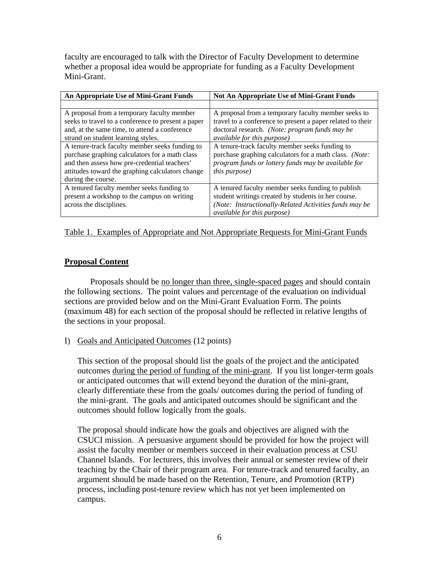faculty are encouraged to talk with the Director of Faculty Development to determine whether a proposal idea would be appropriate for funding as a Faculty Development Mini-Grant.

| An Appropriate Use of Mini-Grant Funds             | <b>Not An Appropriate Use of Mini-Grant Funds</b>          |
|----------------------------------------------------|------------------------------------------------------------|
|                                                    |                                                            |
| A proposal from a temporary faculty member         | A proposal from a temporary faculty member seeks to        |
| seeks to travel to a conference to present a paper | travel to a conference to present a paper related to their |
| and, at the same time, to attend a conference      | doctoral research. (Note: program funds may be             |
| strand on student learning styles.                 | <i>available for this purpose</i> )                        |
| A tenure-track faculty member seeks funding to     | A tenure-track faculty member seeks funding to             |
| purchase graphing calculators for a math class     | purchase graphing calculators for a math class. (Note:     |
| and then assess how pre-credential teachers'       | program funds or lottery funds may be available for        |
| attitudes toward the graphing calculators change   | <i>this purpose</i> )                                      |
| during the course.                                 |                                                            |
| A tenured faculty member seeks funding to          | A tenured faculty member seeks funding to publish          |
| present a workshop to the campus on writing        | student writings created by students in her course.        |
| across the disciplines.                            | (Note: Instructionally-Related Activities funds may be     |
|                                                    | available for this purpose)                                |

#### Table 1. Examples of Appropriate and Not Appropriate Requests for Mini-Grant Funds

#### **Proposal Content**

Proposals should be no longer than three, single-spaced pages and should contain the following sections. The point values and percentage of the evaluation on individual sections are provided below and on the Mini-Grant Evaluation Form. The points (maximum 48) for each section of the proposal should be reflected in relative lengths of the sections in your proposal.

#### I) Goals and Anticipated Outcomes (12 points)

This section of the proposal should list the goals of the project and the anticipated outcomes during the period of funding of the mini-grant. If you list longer-term goals or anticipated outcomes that will extend beyond the duration of the mini-grant, clearly differentiate these from the goals/ outcomes during the period of funding of the mini-grant. The goals and anticipated outcomes should be significant and the outcomes should follow logically from the goals.

The proposal should indicate how the goals and objectives are aligned with the CSUCI mission. A persuasive argument should be provided for how the project will assist the faculty member or members succeed in their evaluation process at CSU Channel Islands. For lecturers, this involves their annual or semester review of their teaching by the Chair of their program area. For tenure-track and tenured faculty, an argument should be made based on the Retention, Tenure, and Promotion (RTP) process, including post-tenure review which has not yet been implemented on campus.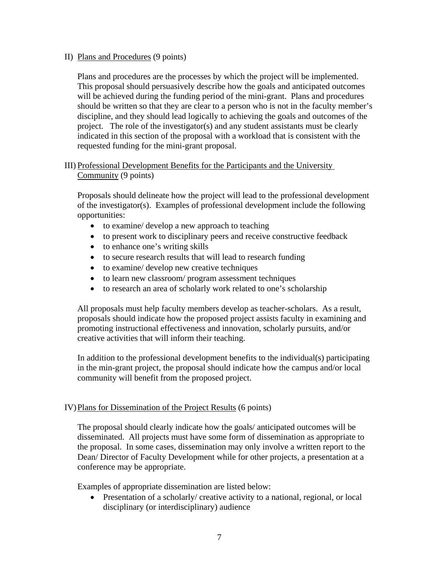#### II) Plans and Procedures (9 points)

Plans and procedures are the processes by which the project will be implemented. This proposal should persuasively describe how the goals and anticipated outcomes will be achieved during the funding period of the mini-grant. Plans and procedures should be written so that they are clear to a person who is not in the faculty member's discipline, and they should lead logically to achieving the goals and outcomes of the project. The role of the investigator(s) and any student assistants must be clearly indicated in this section of the proposal with a workload that is consistent with the requested funding for the mini-grant proposal.

## III) Professional Development Benefits for the Participants and the University Community (9 points)

Proposals should delineate how the project will lead to the professional development of the investigator(s). Examples of professional development include the following opportunities:

- to examine/ develop a new approach to teaching
- to present work to disciplinary peers and receive constructive feedback
- to enhance one's writing skills
- to secure research results that will lead to research funding
- to examine/ develop new creative techniques
- to learn new classroom/ program assessment techniques
- to research an area of scholarly work related to one's scholarship

All proposals must help faculty members develop as teacher-scholars. As a result, proposals should indicate how the proposed project assists faculty in examining and promoting instructional effectiveness and innovation, scholarly pursuits, and/or creative activities that will inform their teaching.

In addition to the professional development benefits to the individual(s) participating in the min-grant project, the proposal should indicate how the campus and/or local community will benefit from the proposed project.

#### IV)Plans for Dissemination of the Project Results (6 points)

The proposal should clearly indicate how the goals/ anticipated outcomes will be disseminated. All projects must have some form of dissemination as appropriate to the proposal. In some cases, dissemination may only involve a written report to the Dean/ Director of Faculty Development while for other projects, a presentation at a conference may be appropriate.

Examples of appropriate dissemination are listed below:

• Presentation of a scholarly/ creative activity to a national, regional, or local disciplinary (or interdisciplinary) audience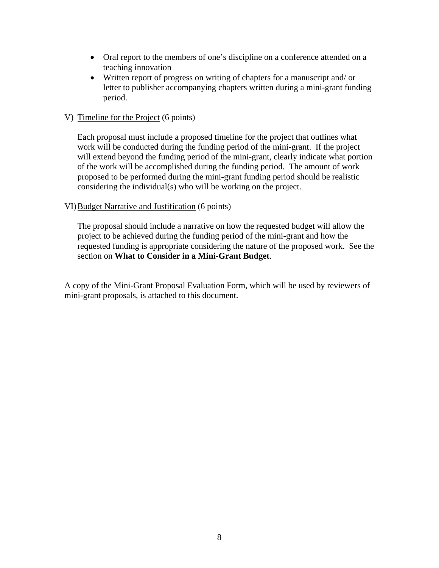- Oral report to the members of one's discipline on a conference attended on a teaching innovation
- Written report of progress on writing of chapters for a manuscript and/ or letter to publisher accompanying chapters written during a mini-grant funding period.

#### V) Timeline for the Project (6 points)

Each proposal must include a proposed timeline for the project that outlines what work will be conducted during the funding period of the mini-grant. If the project will extend beyond the funding period of the mini-grant, clearly indicate what portion of the work will be accomplished during the funding period. The amount of work proposed to be performed during the mini-grant funding period should be realistic considering the individual(s) who will be working on the project.

#### VI)Budget Narrative and Justification (6 points)

The proposal should include a narrative on how the requested budget will allow the project to be achieved during the funding period of the mini-grant and how the requested funding is appropriate considering the nature of the proposed work. See the section on **What to Consider in a Mini-Grant Budget**.

A copy of the Mini-Grant Proposal Evaluation Form, which will be used by reviewers of mini-grant proposals, is attached to this document.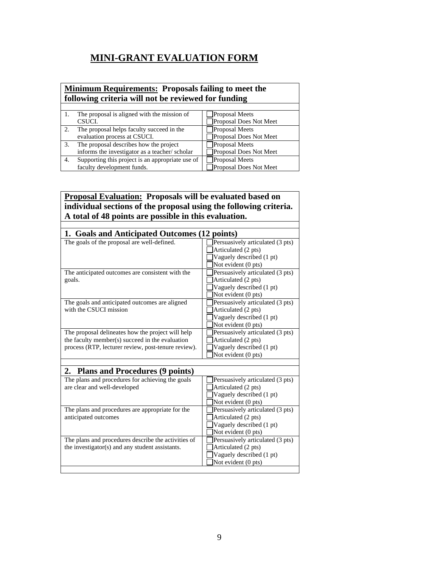# **MINI-GRANT EVALUATION FORM**

## **Minimum Requirements: Proposals failing to meet the following criteria will not be reviewed for funding**

|    | The proposal is aligned with the mission of      | <b>Proposal Meets</b>  |
|----|--------------------------------------------------|------------------------|
|    | CSUCI.                                           | Proposal Does Not Meet |
|    | The proposal helps faculty succeed in the        | Proposal Meets         |
|    | evaluation process at CSUCI.                     | Proposal Does Not Meet |
|    | The proposal describes how the project           | <b>Proposal Meets</b>  |
|    | informs the investigator as a teacher/scholar    | Proposal Does Not Meet |
| 4. | Supporting this project is an appropriate use of | <b>Proposal Meets</b>  |
|    | faculty development funds.                       | Proposal Does Not Meet |

#### **Proposal Evaluation: Proposals will be evaluated based on individual sections of the proposal using the following criteria. A total of 48 points are possible in this evaluation.**

| 1. Goals and Anticipated Outcomes (12 points)                                                                                                               |                                                                                                            |  |
|-------------------------------------------------------------------------------------------------------------------------------------------------------------|------------------------------------------------------------------------------------------------------------|--|
| The goals of the proposal are well-defined.                                                                                                                 | Persuasively articulated (3 pts)<br>Articulated (2 pts)<br>Vaguely described (1 pt)<br>Not evident (0 pts) |  |
| The anticipated outcomes are consistent with the<br>goals.                                                                                                  | Persuasively articulated (3 pts)<br>Articulated (2 pts)<br>Vaguely described (1 pt)<br>Not evident (0 pts) |  |
| The goals and anticipated outcomes are aligned<br>with the CSUCI mission                                                                                    | Persuasively articulated (3 pts)<br>Articulated (2 pts)<br>Vaguely described (1 pt)<br>Not evident (0 pts) |  |
| The proposal delineates how the project will help<br>the faculty member(s) succeed in the evaluation<br>process (RTP, lecturer review, post-tenure review). | Persuasively articulated (3 pts)<br>Articulated (2 pts)<br>Vaguely described (1 pt)<br>Not evident (0 pts) |  |
| 2. Plans and Procedures (9 points)                                                                                                                          |                                                                                                            |  |
| The plans and procedures for achieving the goals<br>are clear and well-developed                                                                            | Persuasively articulated (3 pts)<br>Articulated (2 pts)<br>Vaguely described (1 pt)<br>Not evident (0 pts) |  |
| The plans and procedures are appropriate for the<br>anticipated outcomes                                                                                    | Persuasively articulated (3 pts)<br>Articulated (2 pts)<br>Vaguely described (1 pt)<br>Not evident (0 pts) |  |
| The plans and procedures describe the activities of<br>the investigator(s) and any student assistants.                                                      | Persuasively articulated (3 pts)<br>Articulated (2 pts)<br>Vaguely described (1 pt)<br>Not evident (0 pts) |  |